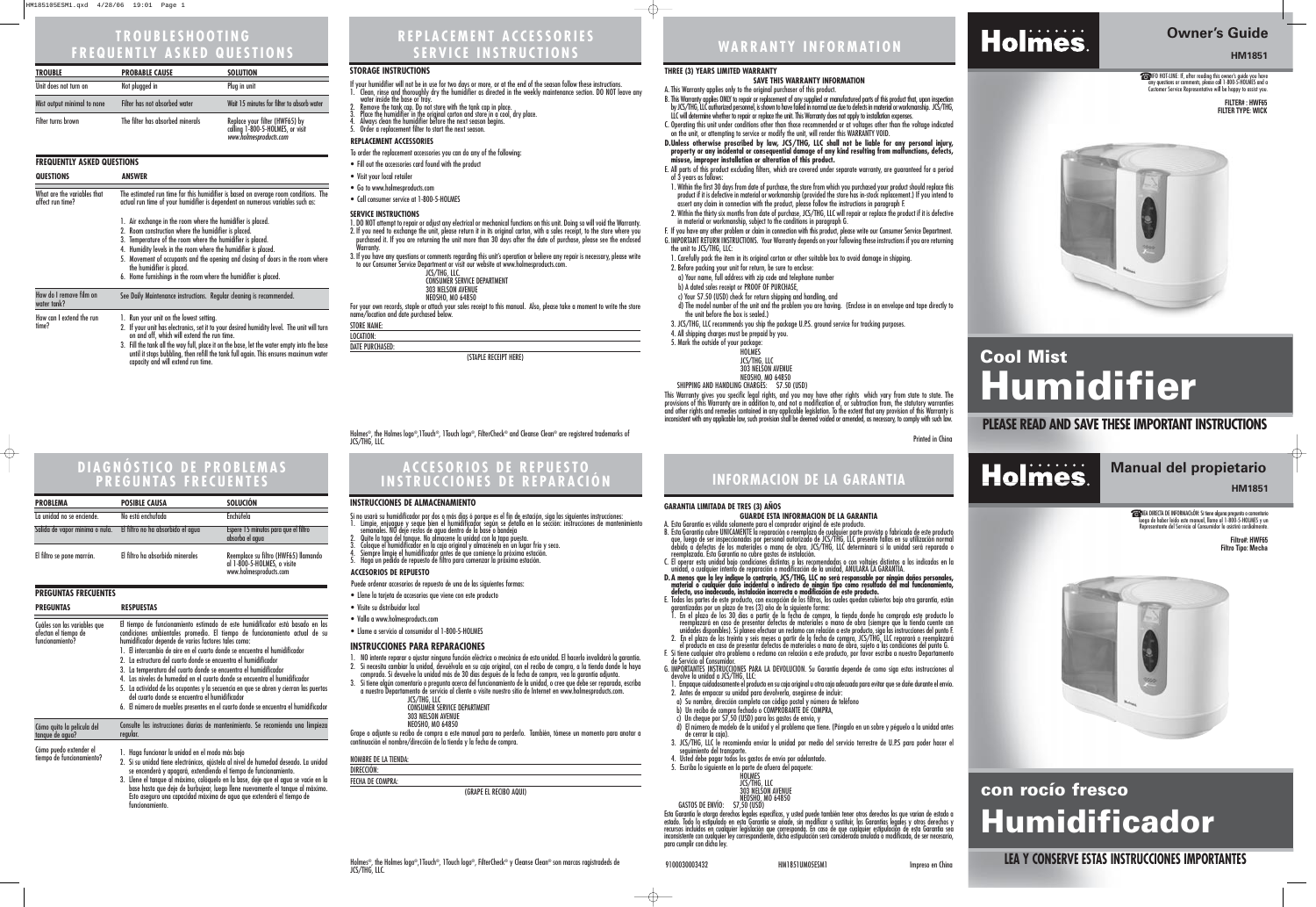## **PLEASE READ AND SAVE THESE IMPORTANT INSTRUCTIONS**

# Holmes.

**Owner's Guide** 

# **HM1851**

☎INFO HOT-LINE: If, after reading this owner's guide you have any questions or comments, please call 1-800-5-HOLMES and a Customer Service Representative will be happy to assist you.

# **Cool Mist Humidifier**

#### **THREE (3) YEARS LIMITED WARRANTY**

**SAVE THIS WARRANTY INFORMATION**

B. This Warranty applies ONLY to repair or replacement of any supplied or manufactured parts of this product that, upon inspection by JCS/THG, LLC authorized personnel, is shown to have failed in normal use due to defects in material or workmanship. JCS/THG, LLC will determine whether to repair or replace the unit. This Warranty does not apply to installation expenses.

A. This Warranty applies only to the original purchaser of this product.

C. Operating this unit under conditions other than those recommended or at voltages other than the voltage indicated on the unit, or attempting to service or modify the unit, will render this WARRANTY VOID.

**D.Unless otherwise proscribed by law, JCS/THG, LLC shall not be liable for any personal injury, property or any incidental or consequential damage of any kind resulting from malfunctions, defects, misuse, improper installation or alteration of this product.**

E. All parts of this product excluding filters, which are covered under separate warranty, are guaranteed for a period

1. Within the first 30 days from date of purchase, the store from which you purchased your product should replace this product if it is defective in material or workmanship (provided the store has in-stock replacement.) If you intend to assert any claim in connection with the product, please follow the instructions in paragraph F.

SHIPPING AND HANDLING CHARGES: \$7.50 (USD) This Warranty gives you specific legal rights, and you may have other rights which vary from state to state. The provisions of this Warranty are in addition to, and not a modification of, or subtraction from, the statutory warranties and other rights and remedies contained in any applicable legislation. To the extent that any provision of this Warranty is inconsistent with any applicable law, such provision shall be deemed voided or amended, as necessary, to comply with such law.

Holmes®, the Holmes logo®,1Touch®, 1Touch logo®, FilterCheck® and Cleanse Clean® are registered trademarks of<br>JCS/THG, LLC.

- of 3 years as follows:
- 
- 
- the unit to JCS/THG, LLC:
- 
- 
- 

2. Within the thirty six months from date of purchase, JCS/THG, LLC will repair or replace the product if it is defective in material or workmanship, subject to the conditions in paragraph G.

F. If you have any other problem or claim in connection with this product, please write our Consumer Service Department. G. IMPORTANT RETURN INSTRUCTIONS. Your Warranty depends on your following these instructions if you are returning

1. Carefully pack the item in its original carton or other suitable box to avoid damage in shipping.

2. Before packing your unit for return, be sure to enclose:

a) Your name, full address with zip code and telephone number

b) A dated sales receipt or PROOF OF PURCHASE,

c) Your \$7.50 (USD) check for return shipping and handling, and

- If your humidifier will not be in use for two days or more, or at the end of the season follow these instructions. 1. Clean, rinse and thoroughly dry the humidifier as directed in the weekly maintenance section. DO NOT leave any<br>water inside the base or tray.<br>2. Remove the tank cap. Do not store with the tank cap in place.
- 3. Place the humidifier in the original carton and store in a cool, dry place.
- 4. Always clean the humidifier before the next season begins.
- Order a replacement filter to start the next season.

d) The model number of the unit and the problem you are having. (Enclose in an envelope and tape directly to the unit before the box is sealed.)

3. JCS/THG, LLC recommends you ship the package U.P.S. ground service for tracking purposes.

4. All shipping charges must be prepaid by you.

5. Mark the outside of your package:

HOLMES

JCS/THG, LLC

303 NELSON AVENUE NEOSHO, MO 64850

Printed in China

#### **SERVICE INSTRUCTIONS**

- 1. DO NOT attempt to repair or adjust any electrical or mechanical functions on this unit. Doing so will void the Warranty. 2. If you need to exchange the unit, please return it in its original carton, with a sales receipt, to the store where you purchased it. If you are returning the unit more than 30 days after the date of purchase, please see the enclosed
- Warranty. 3. If you have any questions or comments regarding this unit's operation or believe any repair is necessary, please write to our Consumer Service Department or visit our website at www.holmesproducts.com.

JCS/THG, LLC. CONSUMER SERVICE DEPARTMENT 303 NELSON AVENUE NEOSHO, MO 64850

For your own records, staple or attach your sales receipt to this manual. Also, please take a moment to write the store name/location and date purchased below.

STORE NAME:

LOCATION: DATE PURCHASED:

(STAPLE RECEIPT HERE)

### **REPLACEMENT ACCESSORIES**

To order the replacement accessories you can do any of the following:

- Fill out the accessories card found with the product
- Visit your local retailer
- Go to www.holmesproducts.com
- Call consumer service at 1-800-5-HOLMES

# **REPLACEMENT ACCESSORIES SERVICE INSTRUCTIONS WARRANTY INFORMATION TROUBLESHOOTING**

# **FREQUENTLY ASKED QUESTIONS**

| <b>TROUBLE</b>              | <b>PROBABLE CAUSE</b>            | <b>SOLUTION</b>                                                                              |
|-----------------------------|----------------------------------|----------------------------------------------------------------------------------------------|
| Unit does not turn on       | Not plugged in                   | Plug in unit                                                                                 |
| Mist output minimal to none | Filter has not absorbed water    | Wait 15 minutes for filter to absorb water                                                   |
| Filter turns brown          | The filter has absorbed minerals | Replace your filter (HWF65) by<br>calling 1-800-5-HOLMES, or visit<br>www.holmesproducts.com |

#### **FREQUENTLY ASKED QUESTIONS**

**FILTER# : HWF65 FILTER TYPE: WICK**



Esta Garantía le otorga derechos legales específicos, y usted puede también tener otros derechos los que varían de estado a<br>estado. Todo lo estipulado en esta Garantía se añade, sin modificar o sustituir, las Garantías leg estado. Todo lo estipulado en esta Garantia se añade, sin modificar o sustituir, las Garantías legales y otros derechos y<br>recursos incluidos en cualquier legislación que corresponda. En caso de que cualquier estipulación d inconsistente con cualquier ley correspondiente, dicha estipulación será considerada anulada o modificada, de ser necesario, para cumplir con dicha ley.

# Holmes.

☎LÍNEA DIRECTA DE INFORMACIsÓN: Si tiene alguna pregunta o comentario luego de haber leído este manual, llame al 1-800-5-HOLMES y un ntante del Servicio al Consumidor lo asistirá cordia

#### **STORAGE INSTRUCTIONS**

Si no usará su humidificador por dos o más días ó porque es el fin de estación, siga las siguientes instrucciones: 1. Limpie, enjuague y seque bien el humidificador según se detalla en la sección: instrucciones de mantenimiento<br>semanales. NO deje restos de agua dentro de la base o bandeja<br>2. Quite la tapa del tanque. No almacene la uni

| <b>QUESTIONS</b>                                | <b>ANSWER</b>                                                                                                                                                                                                                                                                                                                                                                                                                          |
|-------------------------------------------------|----------------------------------------------------------------------------------------------------------------------------------------------------------------------------------------------------------------------------------------------------------------------------------------------------------------------------------------------------------------------------------------------------------------------------------------|
| What are the variables that<br>affect run time? | The estimated run time for this humidifier is based on average room conditions. The<br>actual run time of your humidifier is dependent on numerous variables such as:                                                                                                                                                                                                                                                                  |
|                                                 | 1. Air exchange in the room where the humidifier is placed.<br>2. Room construction where the humidifier is placed.<br>3. Temperature of the room where the humidifier is placed.<br>4. Humidity levels in the room where the humidifier is placed.<br>5. Movement of occupants and the opening and closing of doors in the room where<br>the humidifier is placed.<br>6. Home furnishings in the room where the humidifier is placed. |
| How do I remove film on<br>water tank?          | See Daily Maintenance instructions. Regular cleaning is recommended.                                                                                                                                                                                                                                                                                                                                                                   |
| How can I extend the run<br>time?               | 1. Run your unit on the lowest setting.<br>2. If your unit has electronics, set it to your desired humidity level. The unit will turn<br>on and off, which will extend the run time.                                                                                                                                                                                                                                                   |

3. Fill the tank all the way full, place it on the base, let the water empty into the base until it stops bubbling, then refill the tank full again. This ensures maximum water capacity and will extend run time.

# **ACCESORIOS DE REPUESTO INSTRUCCIONES DE REPARACIÓN INFORMACION DE LA GARANTIA**

 $\overline{\bigoplus}$ 

- 
- 
- 

### **GARANTIA LIMITADA DE TRES (3) AÑOS**

### **GUARDE ESTA INFORMACION DE LA GARANTIA**

A. Esta Garantía es válida solamente para el comprador original de este producto.

B. Esta Garantía cubre UNICAMENTE la reparación o reemplazo de cualquier parte provista o fabricada de este producto que, luego de ser inspeccionadas por personal autorizado de JCS/THG, LLC presente fallas en su utilización normal debido a defectos de los materiales o mano de obra. JCS/THG, LLC determinará si la unidad será reparada o reemplazada. Esta Garantía no cubre gastos de instalación.

C. El operar esta unidad bajo condiciones distintas a las recomendadas o con voltajes distintos a los indicados en la unidad, o cualquier intento de reparación o modificación de la unidad, ANULARA LA GARANTIA. **D.A menos que la ley indique lo contrario, JCS/THG, LLC no será responsable por ningún daños personales,**

**material o cualquier daño incidental o indirecto de ningún tipo como resultado del mal funcionamiento, defecto, uso inadecuado, instalación incorrecta o modificación de este producto.**

E. Todas las partes de este producto, con excepción de los filtros, los cuales quedan cubiertos bajo otra garantía, están garantizadas por un plazo de tres (3) año de la siguiente forma:

1. En el plazo de los 30 días a partir de la fecha de compra, la tienda donde ha comprado este producto lo reemplazará en caso de presentar defectos de materiales o mano de obra (siempre que la tienda cuente con unidades disponibles). Si planea efectuar un reclamo con relación a este producto, siga las instrucciones del punto F. 2. En el plazo de los treinta y seis meses a partir de la fecha de compra, JCS/THG, LLC reparará o reemplazará el producto en caso de presentar defectos de materiales o mano de obra, sujeto a las condiciones del punto G. F. Si tiene cualquier otro problema o reclamo con relación a este producto, por favor escriba a nuestro Departamento de Servicio al Consumidor.

G. IMPORTANTES INSTRUCCIONES PARA LA DEVOLUCION. Su Garantía depende de como siga estas instrucciones al devolve la unidad a JCS/THG, LLC:

1. Empaque cuidadosamente el producto en su caja original u otra caja adecuada para evitar que se dañe durante el envío. 2. Antes de empacar su unidad para devolverla, asegúrese de incluir:

a) Su nombre, dirección completa con código postal y número de teléfono

b) Un recibo de compra fechado o COMPROBANTE DE COMPRA,

c) Un cheque por \$7,50 (USD) para los gastos de envío, y

d) El número de modelo de la unidad y el problema que tiene. (Póngalo en un sobre y péguelo a la unidad antes de cerrar la caja).

3. JCS/THG, LLC le recomienda enviar la unidad por medio del servicio terrestre de U.P.S para poder hacer el seguimiento del transporte.

4. Usted debe pagar todos los gastos de envío por adelantado.

5. Escriba lo siguiente en la parte de afuera del paquete:



## **LEA Y CONSERVE ESTAS INSTRUCCIONES IMPORTANTES**

# **Manual del propietario**

**HM1851**

# **con rocío fresco Humidificador**

**Filtro#: HWF65 Filtro Tipo: Mecha**



#### **INSTRUCCIONES PARA REPARACIONES**

- 1. NO intente reparar o ajustar ninguna función eléctrica o mecánica de esta unidad. El hacerlo invalidará la garantía. 2. Si necesita cambiar la unidad, devuélvala en su caja original, con el recibo de compra, a la tienda donde la haya
- comprado. Si devuelve la unidad más de 30 días después de la fecha de compra, vea la garantía adjunta.
- 3. Si tiene algún comentario o pregunta acerca del funcionamiento de la unidad, o cree que debe ser reparada, escriba a nuestro Departamento de servicio al cliente o visite nuestro sitio de Internet en www.holmesproducts.com. JCS/THG, LLC

| JUJ/ IIIU, LLU                     |
|------------------------------------|
| <b>CONSUMER SERVICE DEPARTMENT</b> |
| <b>303 NELSON AVENUE</b>           |
| NEOSHO, MO 64850                   |

Grape o adjunte su recibo de compra a este manual para no perderlo. También, tómese un momento para anotar a continuación el nombre/dirección de la tienda y la fecha de compra.

| NOMBRE DE LA TIENDA: |
|----------------------|
| DIRECCIÓN:           |
| FECHA DE COMPRA:     |

(GRAPE EL RECIBO AQUI)

#### **ACCESORIOS DE REPUESTO**

Puede ordenar accesorios de repuesto de una de las siguientes formas:

- Llene la tarjeta de accesorios que viene con este producto
- Visite su distribuidor local
- Valla a www.holmesproducts.com
- Llame a servicio al consumidor al 1-800-5-HOLMES
- 
- 3. Coloque el humidificador en la caja original y almacénela en un lugar frío y seco.
- 4. Siempre limpie el humidificador antes de que comience la próxima estación.
- 5. Haga un pedido de repuesto de filtro para comenzar la próxima estación.

#### **INSTRUCCIONES DE ALMACENAMIENTO**

## **DIAGNÓSTICO DE PROBLEMAS PREGUNTAS FRECUENTES**

| <b>PROBLEMA</b>                                                  | <b>POSIBLE CAUSA</b>             | <b>SOLUCIÓN</b>                                                                               |
|------------------------------------------------------------------|----------------------------------|-----------------------------------------------------------------------------------------------|
| La unidad no se enciende.                                        | No está enchufada                | Enchúfela                                                                                     |
| Salida de vapor mínima o nula. El filtro no ha absorbido el agua |                                  | Espere 15 minutos para que el filtro<br>absorba el agua                                       |
| El filtro se pone marrón.                                        | El filtro ha absorbido minerales | Reemplace su filtro (HWF65) llamando<br>al 1-800-5-HOLMES, o visite<br>www.holmesproducts.com |

### **PREGUNTAS FRECUENTES**

| <b>PREGUNTAS</b>                                                        | <b>RESPUESTAS</b>                                                                                                                                                                                                                                                                                                                                                                                                                                                                                                                                                                                                                                                                                                                                       |
|-------------------------------------------------------------------------|---------------------------------------------------------------------------------------------------------------------------------------------------------------------------------------------------------------------------------------------------------------------------------------------------------------------------------------------------------------------------------------------------------------------------------------------------------------------------------------------------------------------------------------------------------------------------------------------------------------------------------------------------------------------------------------------------------------------------------------------------------|
| Cuáles son las variables que<br>afectan el tiempo de<br>funcionamiento? | El tiempo de funcionamiento estimado de este humidificador está basado en las<br>condiciones ambientales promedio. El tiempo de funcionamiento actual de su<br>humidificador depende de varios factores tales como:<br>1. El intercambio de aire en el cuarto donde se encuentra el humidificador<br>2. La estructura del cuarto donde se encuentra el humidificador<br>3. La temperatura del cuarto donde se encuentra el humidificador<br>4. Los niveles de humedad en el cuarto donde se encuentra el humidificador<br>5. La actividad de los ocupantes y la secuencia en que se abren y cierran las puertas<br>del cuarto donde se encuentra el humidificador<br>6. El número de muebles presentes en el cuarto donde se encuentra el humidificador |
| Cómo quito la película del                                              | Consulte las instrucciones diarias de mantenimiento. Se recomienda una limpieza                                                                                                                                                                                                                                                                                                                                                                                                                                                                                                                                                                                                                                                                         |
| tanque de agua?                                                         | regular.                                                                                                                                                                                                                                                                                                                                                                                                                                                                                                                                                                                                                                                                                                                                                |
| Cómo puedo extender el                                                  | 1. Haga funcionar la unidad en el modo más bajo                                                                                                                                                                                                                                                                                                                                                                                                                                                                                                                                                                                                                                                                                                         |
| tiempo de funcionamiento?                                               | 2. Si cu unidad tiono oloctrónicos, giústola al nivol do humodad dosogdo. La unidad                                                                                                                                                                                                                                                                                                                                                                                                                                                                                                                                                                                                                                                                     |

- 2. Si su unidad tiene electrónicos, ajústela al nivel de humedad deseado. La unidad se encenderá y apagará, extendiendo el tiempo de funcionamiento.
- 3. Llene el tanque al máximo, colóquelo en la base, deje que el agua se vacíe en la base hasta que deje de burbujear, luego llene nuevamente el tanque al máximo. Esto asegura una capacidad máxima de agua que extenderá el tiempo de funcionamiento.